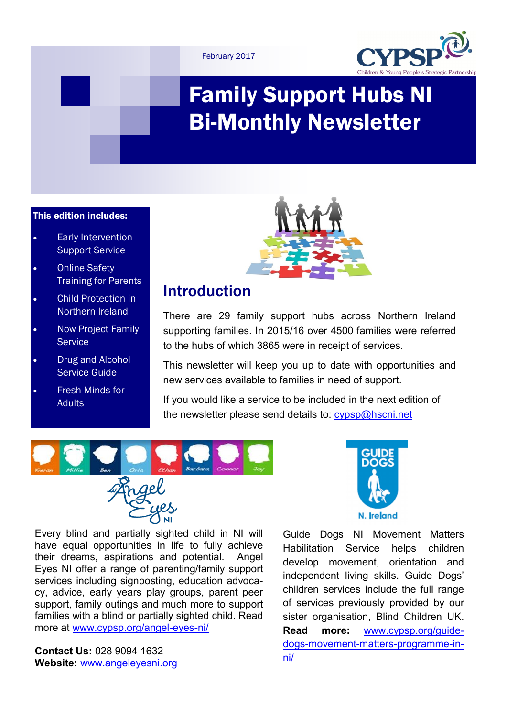



# Family Support Hubs NI Bi-Monthly Newsletter

#### This edition includes:

- Early Intervention Support Service
- Online Safety Training for Parents
- Child Protection in Northern Ireland
- Now Project Family **Service**
- Drug and Alcohol Service Guide
- Fresh Minds for **Adults**



### Introduction

There are 29 family support hubs across Northern Ireland supporting families. In 2015/16 over 4500 families were referred to the hubs of which 3865 were in receipt of services.

This newsletter will keep you up to date with opportunities and new services available to families in need of support.

If you would like a service to be included in the next edition of the newsletter please send details to: [cypsp@hscni.net](mailto:cypsp@hscni.net)



Every blind and partially sighted child in NI will have equal opportunities in life to fully achieve their dreams, aspirations and potential. Angel Eyes NI offer a range of parenting/family support services including signposting, education advocacy, advice, early years play groups, parent peer support, family outings and much more to support families with a blind or partially sighted child. Read more at [www.cypsp.org/angel](http://www.cypsp.org/angel-eyes-ni/)-eyes-ni/

**Contact Us:** 028 9094 1632 **Website:** [www.angeleyesni.org](http://www.angeleyesni.org)



Guide Dogs NI Movement Matters Habilitation Service helps children develop movement, orientation and independent living skills. Guide Dogs' children services include the full range of services previously provided by our sister organisation, Blind Children UK. **Read more:** [www.cypsp.org/guide](http://www.cypsp.org/guide-dogs-movement-matters-programme-in-ni/)dogs-movement-matters-[programme](http://www.cypsp.org/guide-dogs-movement-matters-programme-in-ni/)-in[ni/](http://www.cypsp.org/guide-dogs-movement-matters-programme-in-ni/)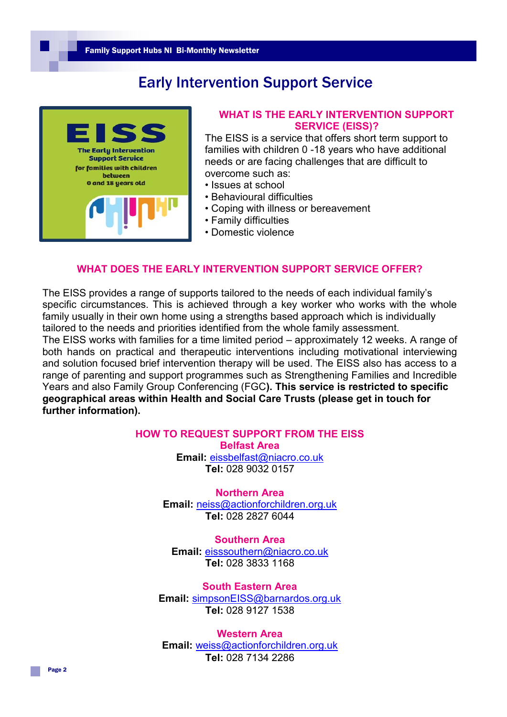### Early Intervention Support Service



#### **WHAT IS THE EARLY INTERVENTION SUPPORT SERVICE (EISS)?**

The EISS is a service that offers short term support to families with children 0 -18 years who have additional needs or are facing challenges that are difficult to overcome such as:

- Issues at school
- Behavioural difficulties
- Coping with illness or bereavement
- Family difficulties
- Domestic violence

#### **WHAT DOES THE EARLY INTERVENTION SUPPORT SERVICE OFFER?**

The EISS provides a range of supports tailored to the needs of each individual family's specific circumstances. This is achieved through a key worker who works with the whole family usually in their own home using a strengths based approach which is individually tailored to the needs and priorities identified from the whole family assessment. The EISS works with families for a time limited period – approximately 12 weeks. A range of both hands on practical and therapeutic interventions including motivational interviewing and solution focused brief intervention therapy will be used. The EISS also has access to a range of parenting and support programmes such as Strengthening Families and Incredible Years and also Family Group Conferencing (FGC**). This service is restricted to specific geographical areas within Health and Social Care Trusts (please get in touch for further information).** 

#### **HOW TO REQUEST SUPPORT FROM THE EISS**

**Belfast Area**

**Email:** [eissbelfast@niacro.co.uk](mailto:eissbelfast@niacro.co.uk) **Tel:** 028 9032 0157

### **Northern Area**

**Email:** [neiss@actionforchildren.org.uk](mailto:neiss@actionforchildren.org.uk) **Tel:** 028 2827 6044

**Southern Area Email:** [eisssouthern@niacro.co.uk](mailto:eisssouthern@niacro.co.uk) **Tel:** 028 3833 1168

**South Eastern Area Email:** [simpsonEISS@barnardos.org.uk](mailto:simpsonEISS@barnardos.org.uk) **Tel:** 028 9127 1538

**Western Area Email:** [weiss@actionforchildren.org.uk](mailto:weiss@actionforchildren.org.uk) **Tel:** 028 7134 2286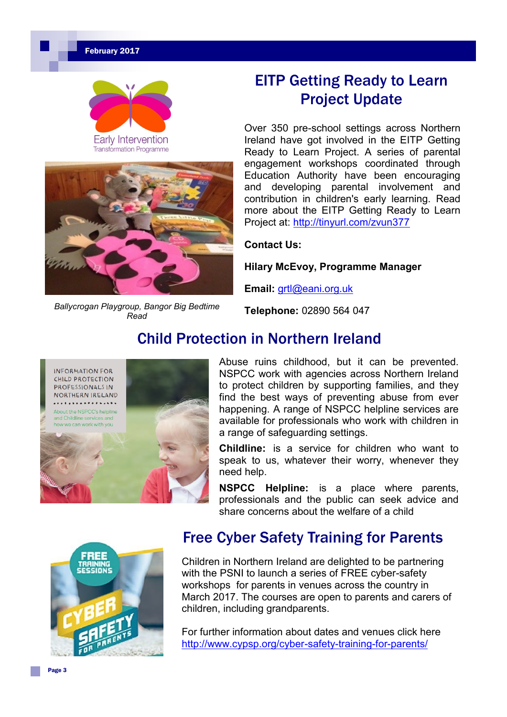

**Transformation Programme** 



*Ballycrogan Playgroup, Bangor Big Bedtime Read*

# EITP Getting Ready to Learn Project Update

Over 350 pre-school settings across Northern Ireland have got involved in the EITP Getting Ready to Learn Project. A series of parental engagement workshops coordinated through Education Authority have been encouraging and developing parental involvement and contribution in children's early learning. Read more about the EITP Getting Ready to Learn Project at: [http://tinyurl.com/zvun377](http://l.facebook.com/l.php?u=http%3A%2F%2Ftinyurl.com%2Fzvun377&h=ATP0kAUHvs2QBTTV8rQD3SEoFTi4YCFWuWTl_MOkXXWmaMEXHFuZbFWtk8_dcZqm_luv2GhH6APfaDQe4rhWr-OHQ4nGzIkSFrXXRLyY7Ze5oBUmp2IFCUKX6ejylXCLFEGphg&enc=AZOPR47Wqte8efL8vMQesXp5jAZtElYX4hITXTnTf_cVCcxwjFQxS)

#### **Contact Us:**

**Hilary McEvoy, Programme Manager**

**Email:** [grtl@eani.org.uk](mailto:grtl@eani.org.uk)

**Telephone:** 02890 564 047

### Child Protection in Northern Ireland



Abuse ruins childhood, but it can be prevented. NSPCC work with agencies across Northern Ireland to protect children by supporting families, and they find the best ways of preventing abuse from ever happening. A range of NSPCC helpline services are available for professionals who work with children in a range of safeguarding settings.

**Childline:** is a service for children who want to speak to us, whatever their worry, whenever they need help.

**NSPCC Helpline:** is a place where parents, professionals and the public can seek advice and share concerns about the welfare of a child



### Free Cyber Safety Training for Parents

Children in Northern Ireland are delighted to be partnering with the PSNI to launch a series of FREE cyber-safety workshops for parents in venues across the country in March 2017. The courses are open to parents and carers of children, including grandparents.

For further information about dates and venues click here [http://www.cypsp.org/cyber](http://www.cypsp.org/cyber-safety-training-for-parents/)-safety-training-for-parents/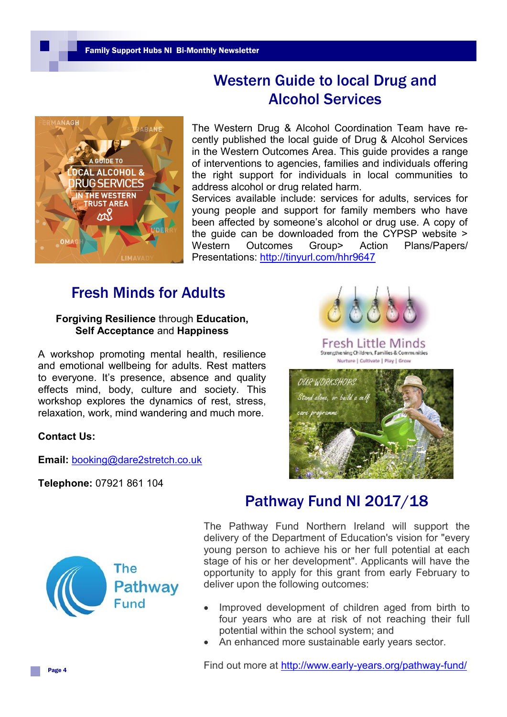### Western Guide to local Drug and Alcohol Services



The Western Drug & Alcohol Coordination Team have recently published the local guide of Drug & Alcohol Services in the Western Outcomes Area. This guide provides a range of interventions to agencies, families and individuals offering the right support for individuals in local communities to address alcohol or drug related harm.

Services available include: services for adults, services for young people and support for family members who have been affected by someone's alcohol or drug use. A copy of the guide can be downloaded from the CYPSP website > Western Outcomes Group> Action Plans/Papers/ Presentations: [http://tinyurl.com/hhr9647](https://cypsp.hscni.net/wp-content/uploads/2017/01/Western-DACT-road-map.pdf)

### Fresh Minds for Adults

#### **Forgiving Resilience** through **Education, Self Acceptance** and **Happiness**

A workshop promoting mental health, resilience and emotional wellbeing for adults. Rest matters to everyone. It's presence, absence and quality effects mind, body, culture and society. This workshop explores the dynamics of rest, stress, relaxation, work, mind wandering and much more.

#### **Contact Us:**

**Email:** [booking@dare2stretch.co.uk](mailto:booking@dare2stretch.co.uk)

**Telephone:** 07921 861 104



Fresh Little Minds Strengthening Children, Families & Communities Nurture | Cultivate | Play | Grow





### Pathway Fund NI 2017/18

The Pathway Fund Northern Ireland will support the delivery of the Department of Education's vision for "every young person to achieve his or her full potential at each stage of his or her development". Applicants will have the opportunity to apply for this grant from early February to deliver upon the following outcomes:

- Improved development of children aged from birth to four years who are at risk of not reaching their full potential within the school system; and
- An enhanced more sustainable early years sector.

Find out more at http://www.early-[years.org/pathway](http://www.early-years.org/pathway-fund/)-fund/